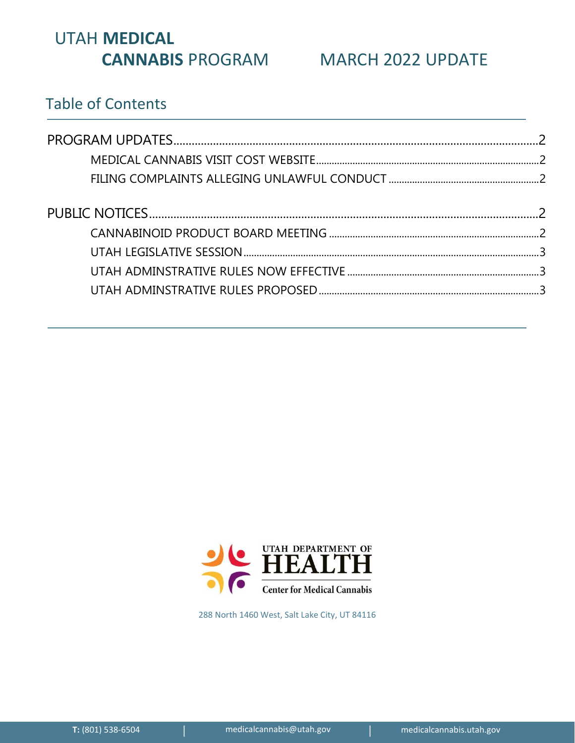# UTAH **MEDICAL CANNABIS** PROGRAM MARCH 2022 UPDATE

## Table of Contents



288 North 1460 West, Salt Lake City, UT 84116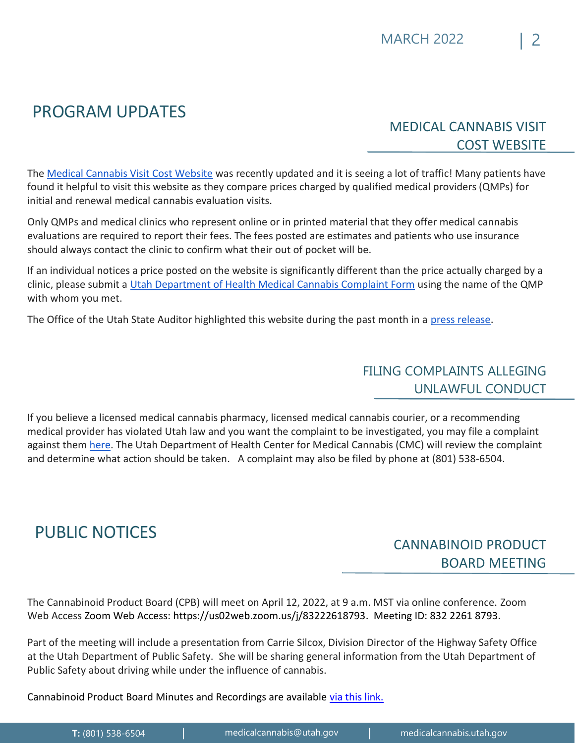# <span id="page-1-0"></span>PROGRAM UPDATES

## <span id="page-1-1"></span>MEDICAL CANNABIS VISIT COST WEBSITE

The [Medical Cannabis Visit Cost Website](https://healthcost.utah.gov/cannabis.php) was recently updated and it is seeing a lot of traffic! Many patients have found it helpful to visit this website as they compare prices charged by qualified medical providers (QMPs) for initial and renewal medical cannabis evaluation visits.

Only QMPs and medical clinics who represent online or in printed material that they offer medical cannabis evaluations are required to report their fees. The fees posted are estimates and patients who use insurance should always contact the clinic to confirm what their out of pocket will be.

If an individual notices a price posted on the website is significantly different than the price actually charged by a clinic, please submit a [Utah Department of Health Medical Cannabis Complaint Form](https://docs.google.com/forms/d/18WADX-_E3jNfs_xA9x8Hvz7VybeFbu4rhfjLlJ83III/edit?ts=61aa7458) using the name of the QMP with whom you met.

<span id="page-1-2"></span>The Office of the Utah State Auditor highlighted this website during the past month in a [press release](https://auditor.utah.gov/wp-content/uploads/sites/6/2022/02/News-Release-Office-of-the-State-Auditor-Adds-Medical-Cannabis-Info-to-Health-Cost-Compare-Final.pdf).

### FILING COMPLAINTS ALLEGING UNLAWFUL CONDUCT

If you believe a licensed medical cannabis pharmacy, licensed medical cannabis courier, or a recommending medical provider has violated Utah law and you want the complaint to be investigated, you may file a complaint against them [here.](https://docs.google.com/forms/d/18WADX-_E3jNfs_xA9x8Hvz7VybeFbu4rhfjLlJ83III/edit?ts=61aa7458) The Utah Department of Health Center for Medical Cannabis (CMC) will review the complaint and determine what action should be taken. A complaint may also be filed by phone at (801) 538-6504.

# <span id="page-1-3"></span>PUBLIC NOTICES

## <span id="page-1-4"></span>CANNABINOID PRODUCT BOARD MEETING

The Cannabinoid Product Board (CPB) will meet on April 12, 2022, at 9 a.m. MST via online conference. Zoom Web Access Zoom Web Access: [https://us02web.zoom.us/j/83222618793.](https://us02web.zoom.us/j/83222618793) Meeting ID: 832 2261 8793.

Part of the meeting will include a presentation from Carrie Silcox, Division Director of the Highway Safety Office at the Utah Department of Public Safety. She will be sharing general information from the Utah Department of Public Safety about driving while under the influence of cannabis.

Cannabinoid Product Board Minutes and Recordings are available [via this link.](https://www.youtube.com/channel/UCJW8IN0h7wQ3ojY33gZC8cw)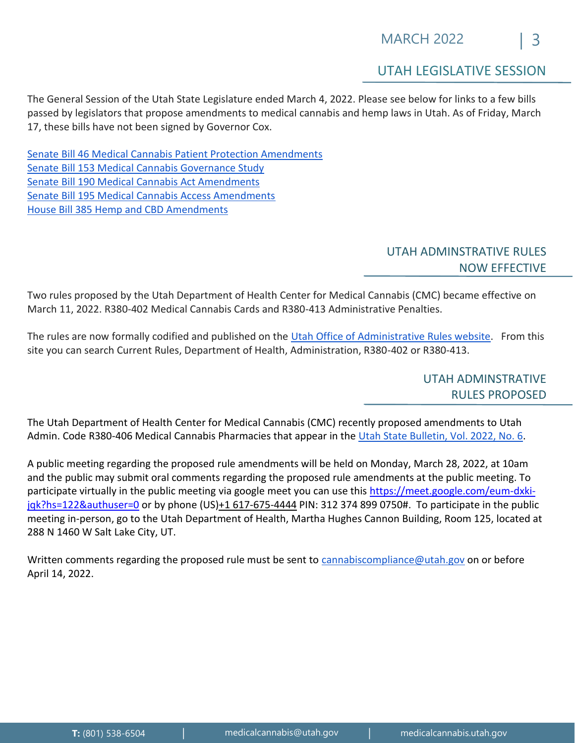#### UTAH LEGISLATIVE SESSION

<span id="page-2-0"></span>The General Session of the Utah State Legislature ended March 4, 2022. Please see below for links to a few bills passed by legislators that propose amendments to medical cannabis and hemp laws in Utah. As of Friday, March 17, these bills have not been signed by Governor Cox.

Senate Bill 46 Medical [Cannabis Patient Protection Amendments](https://le.utah.gov/~2022/bills/static/SB0046.html) [Senate Bill 153 Medical Cannabis Governance Study](https://le.utah.gov/~2022/bills/static/SB0153.html) [Senate Bill 190 Medical Cannabis Act Amendments](https://le.utah.gov/~2022/bills/static/SB0190.html) [Senate Bill 195 Medical Cannabis Access Amendments](https://le.utah.gov/~2022/bills/static/SB0195.html) [House Bill 385 Hemp and CBD Amendments](https://le.utah.gov/~2022/bills/static/HB0385.html)

#### UTAH ADMINSTRATIVE RULES NOW EFFECTIVE

<span id="page-2-1"></span>Two rules proposed by the Utah Department of Health Center for Medical Cannabis (CMC) became effective on March 11, 2022. R380-402 Medical Cannabis Cards and R380-413 Administrative Penalties.

<span id="page-2-2"></span>The rules are now formally codified and published on the [Utah Office of Administrative](https://adminrules.utah.gov/) Rules website. From this site you can search Current Rules, Department of Health, Administration, R380-402 or R380-413.

> UTAH ADMINSTRATIVE RULES PROPOSED

The Utah Department of Health Center for Medical Cannabis (CMC) recently proposed amendments to Utah Admin. Code R380-406 Medical Cannabis Pharmacies that appear in the [Utah State Bulletin, Vol. 2022, No. 6.](https://rules.utah.gov/wp-content/uploads/b20220315.pdf)

A public meeting regarding the proposed rule amendments will be held on Monday, March 28, 2022, at 10am and the public may submit oral comments regarding the proposed rule amendments at the public meeting. To participate virtually in the public meeting via google meet you can use this [https://meet.google.com/eum-dxki](https://meet.google.com/eum-dxki-jqk?hs=122&authuser=0)[jqk?hs=122&authuser=0](https://meet.google.com/eum-dxki-jqk?hs=122&authuser=0) or by phone (US[\)+1 617-675-4444](tel:%E2%80%AA+1%20617-675-4444%E2%80%AC) PIN: 312 374 899 0750#. To participate in the public meeting in-person, go to the Utah Department of Health, Martha Hughes Cannon Building, Room 125, located at 288 N 1460 W Salt Lake City, UT.

Written comments regarding the proposed rule must be sent to [cannabiscompliance@utah.gov](mailto:cannabiscompliance@utah.gov) on or before April 14, 2022.